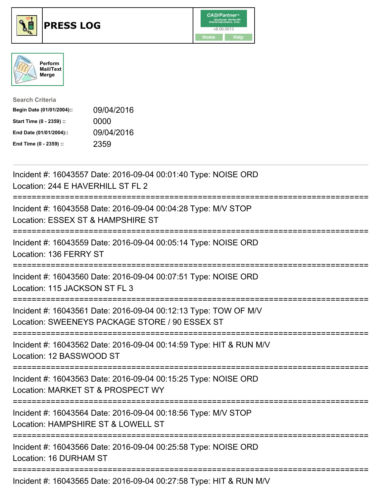





| <b>Search Criteria</b>    |            |
|---------------------------|------------|
| Begin Date (01/01/2004):: | 09/04/2016 |
| Start Time (0 - 2359) ::  | 0000       |
| End Date (01/01/2004)::   | 09/04/2016 |
| End Time (0 - 2359) ::    | 2359       |

| Incident #: 16043557 Date: 2016-09-04 00:01:40 Type: NOISE ORD<br>Location: 244 E HAVERHILL ST FL 2                                                   |
|-------------------------------------------------------------------------------------------------------------------------------------------------------|
| Incident #: 16043558 Date: 2016-09-04 00:04:28 Type: M/V STOP<br>Location: ESSEX ST & HAMPSHIRE ST                                                    |
| Incident #: 16043559 Date: 2016-09-04 00:05:14 Type: NOISE ORD<br>Location: 136 FERRY ST                                                              |
| Incident #: 16043560 Date: 2016-09-04 00:07:51 Type: NOISE ORD<br>Location: 115 JACKSON ST FL 3                                                       |
| Incident #: 16043561 Date: 2016-09-04 00:12:13 Type: TOW OF M/V<br>Location: SWEENEYS PACKAGE STORE / 90 ESSEX ST<br>---------------------            |
| Incident #: 16043562 Date: 2016-09-04 00:14:59 Type: HIT & RUN M/V<br>Location: 12 BASSWOOD ST<br>-----------------------------------                 |
| Incident #: 16043563 Date: 2016-09-04 00:15:25 Type: NOISE ORD<br>Location: MARKET ST & PROSPECT WY<br>==========================<br>================ |
| Incident #: 16043564 Date: 2016-09-04 00:18:56 Type: M/V STOP<br>Location: HAMPSHIRE ST & LOWELL ST<br>----------------------                         |
| Incident #: 16043566 Date: 2016-09-04 00:25:58 Type: NOISE ORD<br>Location: 16 DURHAM ST                                                              |
| Incident #: 16043565 Date: 2016-09-04 00:27:58 Type: HIT & RUN M/V                                                                                    |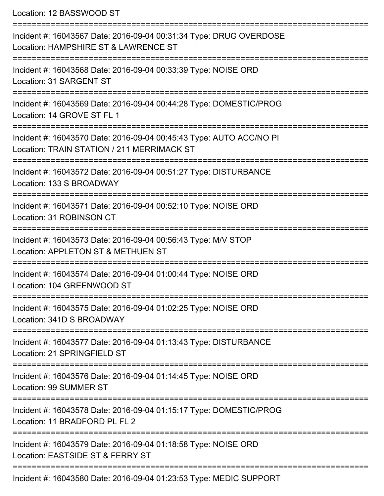Location: 12 BASSWOOD ST

| Incident #: 16043567 Date: 2016-09-04 00:31:34 Type: DRUG OVERDOSE<br>Location: HAMPSHIRE ST & LAWRENCE ST        |
|-------------------------------------------------------------------------------------------------------------------|
| Incident #: 16043568 Date: 2016-09-04 00:33:39 Type: NOISE ORD<br>Location: 31 SARGENT ST                         |
| Incident #: 16043569 Date: 2016-09-04 00:44:28 Type: DOMESTIC/PROG<br>Location: 14 GROVE ST FL 1                  |
| Incident #: 16043570 Date: 2016-09-04 00:45:43 Type: AUTO ACC/NO PI<br>Location: TRAIN STATION / 211 MERRIMACK ST |
| Incident #: 16043572 Date: 2016-09-04 00:51:27 Type: DISTURBANCE<br>Location: 133 S BROADWAY                      |
| Incident #: 16043571 Date: 2016-09-04 00:52:10 Type: NOISE ORD<br>Location: 31 ROBINSON CT                        |
| Incident #: 16043573 Date: 2016-09-04 00:56:43 Type: M/V STOP<br>Location: APPLETON ST & METHUEN ST               |
| Incident #: 16043574 Date: 2016-09-04 01:00:44 Type: NOISE ORD<br>Location: 104 GREENWOOD ST                      |
| Incident #: 16043575 Date: 2016-09-04 01:02:25 Type: NOISE ORD<br>Location: 341D S BROADWAY                       |
| Incident #: 16043577 Date: 2016-09-04 01:13:43 Type: DISTURBANCE<br>Location: 21 SPRINGFIELD ST                   |
| Incident #: 16043576 Date: 2016-09-04 01:14:45 Type: NOISE ORD<br><b>Location: 99 SUMMER ST</b>                   |
| Incident #: 16043578 Date: 2016-09-04 01:15:17 Type: DOMESTIC/PROG<br>Location: 11 BRADFORD PL FL 2               |
| Incident #: 16043579 Date: 2016-09-04 01:18:58 Type: NOISE ORD<br>Location: EASTSIDE ST & FERRY ST                |
| Incident #: 16043580 Date: 2016-09-04 01:23:53 Type: MEDIC SUPPORT                                                |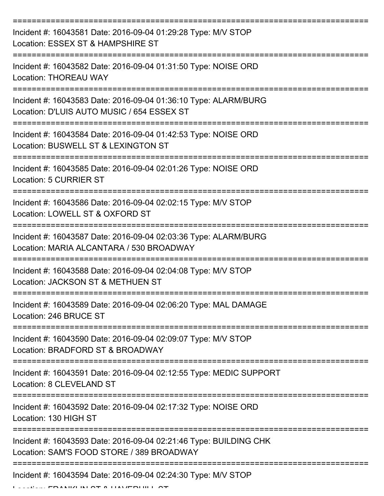| Incident #: 16043581 Date: 2016-09-04 01:29:28 Type: M/V STOP<br>Location: ESSEX ST & HAMPSHIRE ST             |
|----------------------------------------------------------------------------------------------------------------|
| Incident #: 16043582 Date: 2016-09-04 01:31:50 Type: NOISE ORD<br><b>Location: THOREAU WAY</b>                 |
| Incident #: 16043583 Date: 2016-09-04 01:36:10 Type: ALARM/BURG<br>Location: D'LUIS AUTO MUSIC / 654 ESSEX ST  |
| Incident #: 16043584 Date: 2016-09-04 01:42:53 Type: NOISE ORD<br>Location: BUSWELL ST & LEXINGTON ST          |
| Incident #: 16043585 Date: 2016-09-04 02:01:26 Type: NOISE ORD<br><b>Location: 5 CURRIER ST</b>                |
| Incident #: 16043586 Date: 2016-09-04 02:02:15 Type: M/V STOP<br>Location: LOWELL ST & OXFORD ST               |
| Incident #: 16043587 Date: 2016-09-04 02:03:36 Type: ALARM/BURG<br>Location: MARIA ALCANTARA / 530 BROADWAY    |
| Incident #: 16043588 Date: 2016-09-04 02:04:08 Type: M/V STOP<br>Location: JACKSON ST & METHUEN ST             |
| Incident #: 16043589 Date: 2016-09-04 02:06:20 Type: MAL DAMAGE<br>Location: 246 BRUCE ST                      |
| Incident #: 16043590 Date: 2016-09-04 02:09:07 Type: M/V STOP<br>Location: BRADFORD ST & BROADWAY              |
| Incident #: 16043591 Date: 2016-09-04 02:12:55 Type: MEDIC SUPPORT<br>Location: 8 CLEVELAND ST                 |
| Incident #: 16043592 Date: 2016-09-04 02:17:32 Type: NOISE ORD<br>Location: 130 HIGH ST                        |
| Incident #: 16043593 Date: 2016-09-04 02:21:46 Type: BUILDING CHK<br>Location: SAM'S FOOD STORE / 389 BROADWAY |
| Incident #: 16043594 Date: 2016-09-04 02:24:30 Type: M/V STOP                                                  |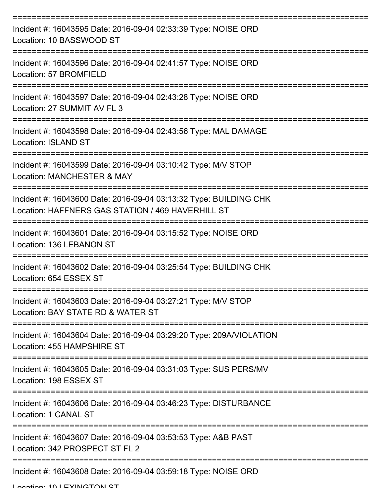| Incident #: 16043595 Date: 2016-09-04 02:33:39 Type: NOISE ORD<br>Location: 10 BASSWOOD ST                             |
|------------------------------------------------------------------------------------------------------------------------|
| Incident #: 16043596 Date: 2016-09-04 02:41:57 Type: NOISE ORD<br>Location: 57 BROMFIELD                               |
| Incident #: 16043597 Date: 2016-09-04 02:43:28 Type: NOISE ORD<br>Location: 27 SUMMIT AV FL 3                          |
| Incident #: 16043598 Date: 2016-09-04 02:43:56 Type: MAL DAMAGE<br><b>Location: ISLAND ST</b>                          |
| Incident #: 16043599 Date: 2016-09-04 03:10:42 Type: M/V STOP<br>Location: MANCHESTER & MAY                            |
| Incident #: 16043600 Date: 2016-09-04 03:13:32 Type: BUILDING CHK<br>Location: HAFFNERS GAS STATION / 469 HAVERHILL ST |
| Incident #: 16043601 Date: 2016-09-04 03:15:52 Type: NOISE ORD<br>Location: 136 LEBANON ST                             |
| Incident #: 16043602 Date: 2016-09-04 03:25:54 Type: BUILDING CHK<br>Location: 654 ESSEX ST                            |
| Incident #: 16043603 Date: 2016-09-04 03:27:21 Type: M/V STOP<br>Location: BAY STATE RD & WATER ST                     |
| Incident #: 16043604 Date: 2016-09-04 03:29:20 Type: 209A/VIOLATION<br>Location: 455 HAMPSHIRE ST                      |
| Incident #: 16043605 Date: 2016-09-04 03:31:03 Type: SUS PERS/MV<br>Location: 198 ESSEX ST                             |
| Incident #: 16043606 Date: 2016-09-04 03:46:23 Type: DISTURBANCE<br>Location: 1 CANAL ST                               |
| Incident #: 16043607 Date: 2016-09-04 03:53:53 Type: A&B PAST<br>Location: 342 PROSPECT ST FL 2                        |
| Incident #: 16043608 Date: 2016-09-04 03:59:18 Type: NOISE ORD                                                         |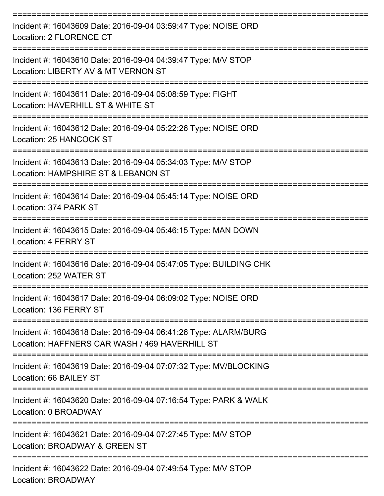| Incident #: 16043609 Date: 2016-09-04 03:59:47 Type: NOISE ORD<br>Location: 2 FLORENCE CT                                                |
|------------------------------------------------------------------------------------------------------------------------------------------|
| Incident #: 16043610 Date: 2016-09-04 04:39:47 Type: M/V STOP<br>Location: LIBERTY AV & MT VERNON ST                                     |
| Incident #: 16043611 Date: 2016-09-04 05:08:59 Type: FIGHT<br>Location: HAVERHILL ST & WHITE ST                                          |
| Incident #: 16043612 Date: 2016-09-04 05:22:26 Type: NOISE ORD<br>Location: 25 HANCOCK ST                                                |
| Incident #: 16043613 Date: 2016-09-04 05:34:03 Type: M/V STOP<br>Location: HAMPSHIRE ST & LEBANON ST                                     |
| Incident #: 16043614 Date: 2016-09-04 05:45:14 Type: NOISE ORD<br>Location: 374 PARK ST                                                  |
| Incident #: 16043615 Date: 2016-09-04 05:46:15 Type: MAN DOWN<br><b>Location: 4 FERRY ST</b>                                             |
| Incident #: 16043616 Date: 2016-09-04 05:47:05 Type: BUILDING CHK<br>Location: 252 WATER ST                                              |
| Incident #: 16043617 Date: 2016-09-04 06:09:02 Type: NOISE ORD<br>Location: 136 FERRY ST                                                 |
| ===================<br>Incident #: 16043618 Date: 2016-09-04 06:41:26 Type: ALARM/BURG<br>Location: HAFFNERS CAR WASH / 469 HAVERHILL ST |
| Incident #: 16043619 Date: 2016-09-04 07:07:32 Type: MV/BLOCKING<br>Location: 66 BAILEY ST                                               |
| Incident #: 16043620 Date: 2016-09-04 07:16:54 Type: PARK & WALK<br>Location: 0 BROADWAY                                                 |
| Incident #: 16043621 Date: 2016-09-04 07:27:45 Type: M/V STOP<br>Location: BROADWAY & GREEN ST                                           |
| Incident #: 16043622 Date: 2016-09-04 07:49:54 Type: M/V STOP<br>Location: BROADWAY                                                      |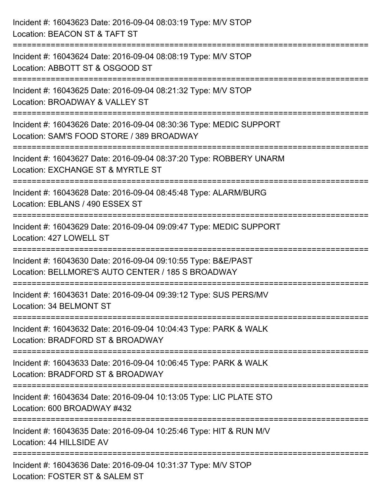| Incident #: 16043623 Date: 2016-09-04 08:03:19 Type: M/V STOP<br>Location: BEACON ST & TAFT ST                                       |
|--------------------------------------------------------------------------------------------------------------------------------------|
| :============================<br>Incident #: 16043624 Date: 2016-09-04 08:08:19 Type: M/V STOP<br>Location: ABBOTT ST & OSGOOD ST    |
| Incident #: 16043625 Date: 2016-09-04 08:21:32 Type: M/V STOP<br>Location: BROADWAY & VALLEY ST<br>==============================    |
| Incident #: 16043626 Date: 2016-09-04 08:30:36 Type: MEDIC SUPPORT<br>Location: SAM'S FOOD STORE / 389 BROADWAY<br>:================ |
| Incident #: 16043627 Date: 2016-09-04 08:37:20 Type: ROBBERY UNARM<br>Location: EXCHANGE ST & MYRTLE ST<br>===================       |
| Incident #: 16043628 Date: 2016-09-04 08:45:48 Type: ALARM/BURG<br>Location: EBLANS / 490 ESSEX ST                                   |
| Incident #: 16043629 Date: 2016-09-04 09:09:47 Type: MEDIC SUPPORT<br>Location: 427 LOWELL ST                                        |
| Incident #: 16043630 Date: 2016-09-04 09:10:55 Type: B&E/PAST<br>Location: BELLMORE'S AUTO CENTER / 185 S BROADWAY                   |
| Incident #: 16043631 Date: 2016-09-04 09:39:12 Type: SUS PERS/MV<br>Location: 34 BELMONT ST                                          |
| Incident #: 16043632 Date: 2016-09-04 10:04:43 Type: PARK & WALK<br>Location: BRADFORD ST & BROADWAY                                 |
| Incident #: 16043633 Date: 2016-09-04 10:06:45 Type: PARK & WALK<br>Location: BRADFORD ST & BROADWAY                                 |
| Incident #: 16043634 Date: 2016-09-04 10:13:05 Type: LIC PLATE STO<br>Location: 600 BROADWAY #432                                    |
| Incident #: 16043635 Date: 2016-09-04 10:25:46 Type: HIT & RUN M/V<br>Location: 44 HILLSIDE AV                                       |
| Incident #: 16043636 Date: 2016-09-04 10:31:37 Type: M/V STOP<br>Location: FOSTER ST & SALEM ST                                      |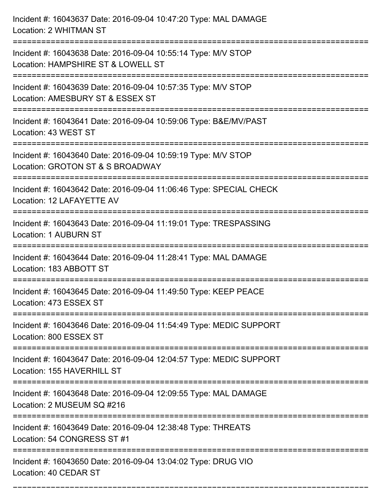| Incident #: 16043637 Date: 2016-09-04 10:47:20 Type: MAL DAMAGE<br>Location: 2 WHITMAN ST                                         |
|-----------------------------------------------------------------------------------------------------------------------------------|
| Incident #: 16043638 Date: 2016-09-04 10:55:14 Type: M/V STOP<br>Location: HAMPSHIRE ST & LOWELL ST                               |
| Incident #: 16043639 Date: 2016-09-04 10:57:35 Type: M/V STOP<br>Location: AMESBURY ST & ESSEX ST                                 |
| Incident #: 16043641 Date: 2016-09-04 10:59:06 Type: B&E/MV/PAST<br>Location: 43 WEST ST                                          |
| Incident #: 16043640 Date: 2016-09-04 10:59:19 Type: M/V STOP<br>Location: GROTON ST & S BROADWAY<br>=====================        |
| Incident #: 16043642 Date: 2016-09-04 11:06:46 Type: SPECIAL CHECK<br>Location: 12 LAFAYETTE AV                                   |
| Incident #: 16043643 Date: 2016-09-04 11:19:01 Type: TRESPASSING<br><b>Location: 1 AUBURN ST</b><br>============================= |
| Incident #: 16043644 Date: 2016-09-04 11:28:41 Type: MAL DAMAGE<br>Location: 183 ABBOTT ST                                        |
| Incident #: 16043645 Date: 2016-09-04 11:49:50 Type: KEEP PEACE<br>Location: 473 ESSEX ST                                         |
| Incident #: 16043646 Date: 2016-09-04 11:54:49 Type: MEDIC SUPPORT<br>Location: 800 ESSEX ST                                      |
| Incident #: 16043647 Date: 2016-09-04 12:04:57 Type: MEDIC SUPPORT<br>Location: 155 HAVERHILL ST                                  |
| Incident #: 16043648 Date: 2016-09-04 12:09:55 Type: MAL DAMAGE<br>Location: 2 MUSEUM SQ #216                                     |
| Incident #: 16043649 Date: 2016-09-04 12:38:48 Type: THREATS<br>Location: 54 CONGRESS ST #1                                       |
| ---------------------------------<br>Incident #: 16043650 Date: 2016-09-04 13:04:02 Type: DRUG VIO<br>Location: 40 CEDAR ST       |

===========================================================================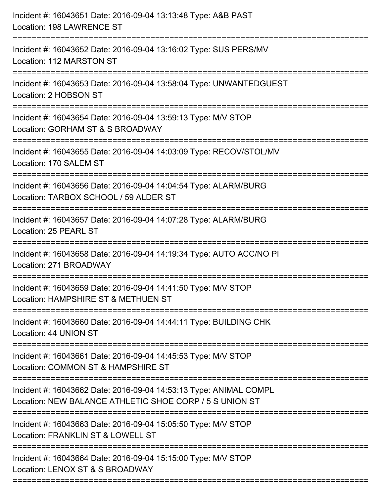| Incident #: 16043651 Date: 2016-09-04 13:13:48 Type: A&B PAST<br>Location: 198 LAWRENCE ST                                    |
|-------------------------------------------------------------------------------------------------------------------------------|
| :=====================<br>Incident #: 16043652 Date: 2016-09-04 13:16:02 Type: SUS PERS/MV<br>Location: 112 MARSTON ST        |
| Incident #: 16043653 Date: 2016-09-04 13:58:04 Type: UNWANTEDGUEST<br>Location: 2 HOBSON ST                                   |
| Incident #: 16043654 Date: 2016-09-04 13:59:13 Type: M/V STOP<br>Location: GORHAM ST & S BROADWAY                             |
| Incident #: 16043655 Date: 2016-09-04 14:03:09 Type: RECOV/STOL/MV<br>Location: 170 SALEM ST<br>============================= |
| Incident #: 16043656 Date: 2016-09-04 14:04:54 Type: ALARM/BURG<br>Location: TARBOX SCHOOL / 59 ALDER ST                      |
| Incident #: 16043657 Date: 2016-09-04 14:07:28 Type: ALARM/BURG<br>Location: 25 PEARL ST<br>:================================ |
| Incident #: 16043658 Date: 2016-09-04 14:19:34 Type: AUTO ACC/NO PI<br>Location: 271 BROADWAY                                 |
| Incident #: 16043659 Date: 2016-09-04 14:41:50 Type: M/V STOP<br>Location: HAMPSHIRE ST & METHUEN ST                          |
| Incident #: 16043660 Date: 2016-09-04 14:44:11 Type: BUILDING CHK<br>Location: 44 UNION ST                                    |
| Incident #: 16043661 Date: 2016-09-04 14:45:53 Type: M/V STOP<br>Location: COMMON ST & HAMPSHIRE ST                           |
| Incident #: 16043662 Date: 2016-09-04 14:53:13 Type: ANIMAL COMPL<br>Location: NEW BALANCE ATHLETIC SHOE CORP / 5 S UNION ST  |
| Incident #: 16043663 Date: 2016-09-04 15:05:50 Type: M/V STOP<br>Location: FRANKLIN ST & LOWELL ST                            |
| Incident #: 16043664 Date: 2016-09-04 15:15:00 Type: M/V STOP<br>Location: LENOX ST & S BROADWAY                              |
|                                                                                                                               |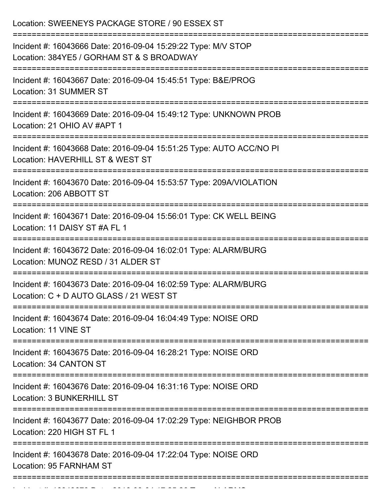| Location: SWEENEYS PACKAGE STORE / 90 ESSEX ST                                                                                                  |
|-------------------------------------------------------------------------------------------------------------------------------------------------|
| Incident #: 16043666 Date: 2016-09-04 15:29:22 Type: M/V STOP<br>Location: 384YE5 / GORHAM ST & S BROADWAY<br>:================================ |
| Incident #: 16043667 Date: 2016-09-04 15:45:51 Type: B&E/PROG<br>Location: 31 SUMMER ST                                                         |
| Incident #: 16043669 Date: 2016-09-04 15:49:12 Type: UNKNOWN PROB<br>Location: 21 OHIO AV #APT 1<br>============================                |
| Incident #: 16043668 Date: 2016-09-04 15:51:25 Type: AUTO ACC/NO PI<br>Location: HAVERHILL ST & WEST ST                                         |
| Incident #: 16043670 Date: 2016-09-04 15:53:57 Type: 209A/VIOLATION<br>Location: 206 ABBOTT ST                                                  |
| Incident #: 16043671 Date: 2016-09-04 15:56:01 Type: CK WELL BEING<br>Location: 11 DAISY ST #A FL 1                                             |
| Incident #: 16043672 Date: 2016-09-04 16:02:01 Type: ALARM/BURG<br>Location: MUNOZ RESD / 31 ALDER ST                                           |
| Incident #: 16043673 Date: 2016-09-04 16:02:59 Type: ALARM/BURG<br>Location: C + D AUTO GLASS / 21 WEST ST                                      |
| Incident #: 16043674 Date: 2016-09-04 16:04:49 Type: NOISE ORD<br>Location: 11 VINE ST                                                          |
| Incident #: 16043675 Date: 2016-09-04 16:28:21 Type: NOISE ORD<br>Location: 34 CANTON ST                                                        |
| Incident #: 16043676 Date: 2016-09-04 16:31:16 Type: NOISE ORD<br>Location: 3 BUNKERHILL ST                                                     |
| Incident #: 16043677 Date: 2016-09-04 17:02:29 Type: NEIGHBOR PROB<br>Location: 220 HIGH ST FL 1                                                |
| Incident #: 16043678 Date: 2016-09-04 17:22:04 Type: NOISE ORD<br>Location: 95 FARNHAM ST                                                       |

Incident #: 16043679 Date: 2016 09 04 17:25:26 Type: 2016 09 04 17:25:26 Type: 2016 09 04 17:25:26<br>.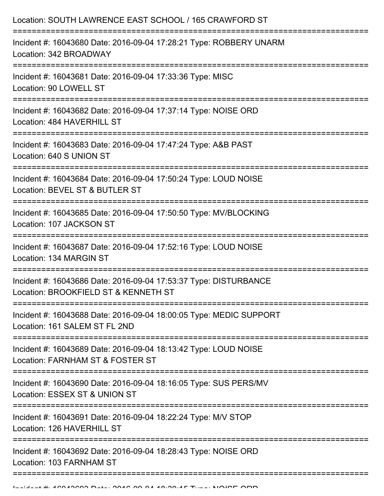| Incident #: 16043680 Date: 2016-09-04 17:28:21 Type: ROBBERY UNARM<br>Location: 342 BROADWAY<br>:=====================<br>Incident #: 16043681 Date: 2016-09-04 17:33:36 Type: MISC<br>Location: 90 LOWELL ST<br>Incident #: 16043682 Date: 2016-09-04 17:37:14 Type: NOISE ORD<br>Location: 484 HAVERHILL ST<br>==============================<br>Incident #: 16043683 Date: 2016-09-04 17:47:24 Type: A&B PAST<br>Location: 640 S UNION ST<br>Incident #: 16043684 Date: 2016-09-04 17:50:24 Type: LOUD NOISE<br>Location: BEVEL ST & BUTLER ST<br>Incident #: 16043685 Date: 2016-09-04 17:50:50 Type: MV/BLOCKING<br>Location: 107 JACKSON ST<br>Incident #: 16043687 Date: 2016-09-04 17:52:16 Type: LOUD NOISE<br>Location: 134 MARGIN ST<br>Incident #: 16043686 Date: 2016-09-04 17:53:37 Type: DISTURBANCE<br>Location: BROOKFIELD ST & KENNETH ST<br>Incident #: 16043688 Date: 2016-09-04 18:00:05 Type: MEDIC SUPPORT<br>Location: 161 SALEM ST FL 2ND<br>Incident #: 16043689 Date: 2016-09-04 18:13:42 Type: LOUD NOISE<br>Location: FARNHAM ST & FOSTER ST<br>Incident #: 16043690 Date: 2016-09-04 18:16:05 Type: SUS PERS/MV<br>Location: ESSEX ST & UNION ST<br>Incident #: 16043691 Date: 2016-09-04 18:22:24 Type: M/V STOP<br>Location: 126 HAVERHILL ST<br>Incident #: 16043692 Date: 2016-09-04 18:28:43 Type: NOISE ORD<br>Location: 103 FARNHAM ST | Location: SOUTH LAWRENCE EAST SCHOOL / 165 CRAWFORD ST |
|-----------------------------------------------------------------------------------------------------------------------------------------------------------------------------------------------------------------------------------------------------------------------------------------------------------------------------------------------------------------------------------------------------------------------------------------------------------------------------------------------------------------------------------------------------------------------------------------------------------------------------------------------------------------------------------------------------------------------------------------------------------------------------------------------------------------------------------------------------------------------------------------------------------------------------------------------------------------------------------------------------------------------------------------------------------------------------------------------------------------------------------------------------------------------------------------------------------------------------------------------------------------------------------------------------------------------------------------------------------------------------|--------------------------------------------------------|
|                                                                                                                                                                                                                                                                                                                                                                                                                                                                                                                                                                                                                                                                                                                                                                                                                                                                                                                                                                                                                                                                                                                                                                                                                                                                                                                                                                             |                                                        |
|                                                                                                                                                                                                                                                                                                                                                                                                                                                                                                                                                                                                                                                                                                                                                                                                                                                                                                                                                                                                                                                                                                                                                                                                                                                                                                                                                                             |                                                        |
|                                                                                                                                                                                                                                                                                                                                                                                                                                                                                                                                                                                                                                                                                                                                                                                                                                                                                                                                                                                                                                                                                                                                                                                                                                                                                                                                                                             |                                                        |
|                                                                                                                                                                                                                                                                                                                                                                                                                                                                                                                                                                                                                                                                                                                                                                                                                                                                                                                                                                                                                                                                                                                                                                                                                                                                                                                                                                             |                                                        |
|                                                                                                                                                                                                                                                                                                                                                                                                                                                                                                                                                                                                                                                                                                                                                                                                                                                                                                                                                                                                                                                                                                                                                                                                                                                                                                                                                                             |                                                        |
|                                                                                                                                                                                                                                                                                                                                                                                                                                                                                                                                                                                                                                                                                                                                                                                                                                                                                                                                                                                                                                                                                                                                                                                                                                                                                                                                                                             |                                                        |
|                                                                                                                                                                                                                                                                                                                                                                                                                                                                                                                                                                                                                                                                                                                                                                                                                                                                                                                                                                                                                                                                                                                                                                                                                                                                                                                                                                             |                                                        |
|                                                                                                                                                                                                                                                                                                                                                                                                                                                                                                                                                                                                                                                                                                                                                                                                                                                                                                                                                                                                                                                                                                                                                                                                                                                                                                                                                                             |                                                        |
|                                                                                                                                                                                                                                                                                                                                                                                                                                                                                                                                                                                                                                                                                                                                                                                                                                                                                                                                                                                                                                                                                                                                                                                                                                                                                                                                                                             |                                                        |
|                                                                                                                                                                                                                                                                                                                                                                                                                                                                                                                                                                                                                                                                                                                                                                                                                                                                                                                                                                                                                                                                                                                                                                                                                                                                                                                                                                             |                                                        |
|                                                                                                                                                                                                                                                                                                                                                                                                                                                                                                                                                                                                                                                                                                                                                                                                                                                                                                                                                                                                                                                                                                                                                                                                                                                                                                                                                                             |                                                        |
|                                                                                                                                                                                                                                                                                                                                                                                                                                                                                                                                                                                                                                                                                                                                                                                                                                                                                                                                                                                                                                                                                                                                                                                                                                                                                                                                                                             |                                                        |
|                                                                                                                                                                                                                                                                                                                                                                                                                                                                                                                                                                                                                                                                                                                                                                                                                                                                                                                                                                                                                                                                                                                                                                                                                                                                                                                                                                             |                                                        |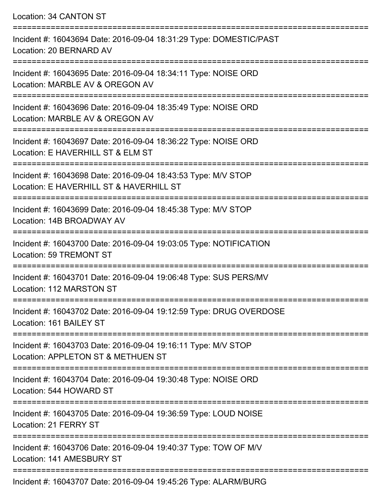Location: 34 CANTON ST

| Incident #: 16043694 Date: 2016-09-04 18:31:29 Type: DOMESTIC/PAST<br>Location: 20 BERNARD AV                               |
|-----------------------------------------------------------------------------------------------------------------------------|
| Incident #: 16043695 Date: 2016-09-04 18:34:11 Type: NOISE ORD<br>Location: MARBLE AV & OREGON AV                           |
| Incident #: 16043696 Date: 2016-09-04 18:35:49 Type: NOISE ORD<br>Location: MARBLE AV & OREGON AV                           |
| Incident #: 16043697 Date: 2016-09-04 18:36:22 Type: NOISE ORD<br>Location: E HAVERHILL ST & ELM ST                         |
| Incident #: 16043698 Date: 2016-09-04 18:43:53 Type: M/V STOP<br>Location: E HAVERHILL ST & HAVERHILL ST                    |
| Incident #: 16043699 Date: 2016-09-04 18:45:38 Type: M/V STOP<br>Location: 14B BROADWAY AV                                  |
| Incident #: 16043700 Date: 2016-09-04 19:03:05 Type: NOTIFICATION<br>Location: 59 TREMONT ST                                |
| Incident #: 16043701 Date: 2016-09-04 19:06:48 Type: SUS PERS/MV<br><b>Location: 112 MARSTON ST</b>                         |
| Incident #: 16043702 Date: 2016-09-04 19:12:59 Type: DRUG OVERDOSE<br>Location: 161 BAILEY ST                               |
| Incident #: 16043703 Date: 2016-09-04 19:16:11 Type: M/V STOP<br>Location: APPLETON ST & METHUEN ST                         |
| Incident #: 16043704 Date: 2016-09-04 19:30:48 Type: NOISE ORD<br>Location: 544 HOWARD ST                                   |
| ===============================<br>Incident #: 16043705 Date: 2016-09-04 19:36:59 Type: LOUD NOISE<br>Location: 21 FERRY ST |
| Incident #: 16043706 Date: 2016-09-04 19:40:37 Type: TOW OF M/V<br>Location: 141 AMESBURY ST                                |
|                                                                                                                             |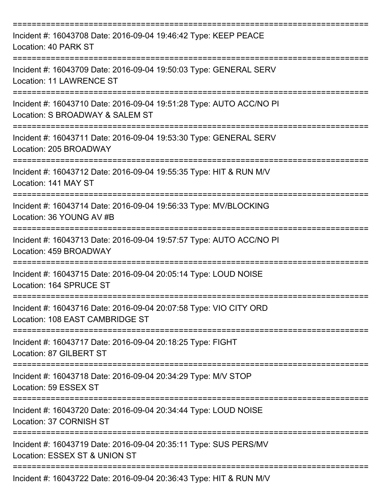| Incident #: 16043708 Date: 2016-09-04 19:46:42 Type: KEEP PEACE<br>Location: 40 PARK ST                           |
|-------------------------------------------------------------------------------------------------------------------|
| Incident #: 16043709 Date: 2016-09-04 19:50:03 Type: GENERAL SERV<br>Location: 11 LAWRENCE ST                     |
| Incident #: 16043710 Date: 2016-09-04 19:51:28 Type: AUTO ACC/NO PI<br>Location: S BROADWAY & SALEM ST            |
| Incident #: 16043711 Date: 2016-09-04 19:53:30 Type: GENERAL SERV<br>Location: 205 BROADWAY<br>------------------ |
| Incident #: 16043712 Date: 2016-09-04 19:55:35 Type: HIT & RUN M/V<br>Location: 141 MAY ST                        |
| Incident #: 16043714 Date: 2016-09-04 19:56:33 Type: MV/BLOCKING<br>Location: 36 YOUNG AV #B                      |
| Incident #: 16043713 Date: 2016-09-04 19:57:57 Type: AUTO ACC/NO PI<br>Location: 459 BROADWAY                     |
| Incident #: 16043715 Date: 2016-09-04 20:05:14 Type: LOUD NOISE<br>Location: 164 SPRUCE ST                        |
| Incident #: 16043716 Date: 2016-09-04 20:07:58 Type: VIO CITY ORD<br>Location: 108 EAST CAMBRIDGE ST              |
| Incident #: 16043717 Date: 2016-09-04 20:18:25 Type: FIGHT<br>Location: 87 GILBERT ST                             |
| Incident #: 16043718 Date: 2016-09-04 20:34:29 Type: M/V STOP<br>Location: 59 ESSEX ST                            |
| Incident #: 16043720 Date: 2016-09-04 20:34:44 Type: LOUD NOISE<br>Location: 37 CORNISH ST                        |
| Incident #: 16043719 Date: 2016-09-04 20:35:11 Type: SUS PERS/MV<br>Location: ESSEX ST & UNION ST                 |
| Incident #: 16043722 Date: 2016-09-04 20:36:43 Type: HIT & RUN M/V                                                |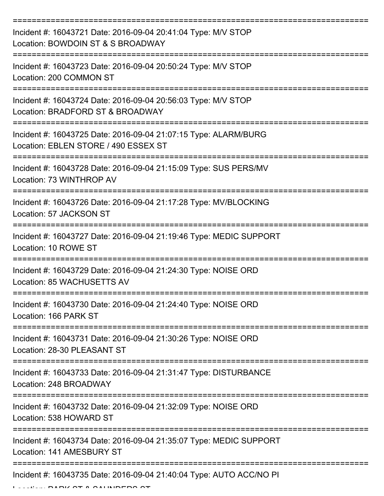| Incident #: 16043721 Date: 2016-09-04 20:41:04 Type: M/V STOP<br>Location: BOWDOIN ST & S BROADWAY      |
|---------------------------------------------------------------------------------------------------------|
| Incident #: 16043723 Date: 2016-09-04 20:50:24 Type: M/V STOP<br>Location: 200 COMMON ST                |
| Incident #: 16043724 Date: 2016-09-04 20:56:03 Type: M/V STOP<br>Location: BRADFORD ST & BROADWAY       |
| Incident #: 16043725 Date: 2016-09-04 21:07:15 Type: ALARM/BURG<br>Location: EBLEN STORE / 490 ESSEX ST |
| Incident #: 16043728 Date: 2016-09-04 21:15:09 Type: SUS PERS/MV<br>Location: 73 WINTHROP AV            |
| Incident #: 16043726 Date: 2016-09-04 21:17:28 Type: MV/BLOCKING<br>Location: 57 JACKSON ST             |
| Incident #: 16043727 Date: 2016-09-04 21:19:46 Type: MEDIC SUPPORT<br>Location: 10 ROWE ST              |
| Incident #: 16043729 Date: 2016-09-04 21:24:30 Type: NOISE ORD<br>Location: 85 WACHUSETTS AV            |
| Incident #: 16043730 Date: 2016-09-04 21:24:40 Type: NOISE ORD<br>Location: 166 PARK ST                 |
| Incident #: 16043731 Date: 2016-09-04 21:30:26 Type: NOISE ORD<br>Location: 28-30 PLEASANT ST           |
| Incident #: 16043733 Date: 2016-09-04 21:31:47 Type: DISTURBANCE<br>Location: 248 BROADWAY              |
| Incident #: 16043732 Date: 2016-09-04 21:32:09 Type: NOISE ORD<br>Location: 538 HOWARD ST               |
| Incident #: 16043734 Date: 2016-09-04 21:35:07 Type: MEDIC SUPPORT<br>Location: 141 AMESBURY ST         |
| Incident #: 16043735 Date: 2016-09-04 21:40:04 Type: AUTO ACC/NO PI                                     |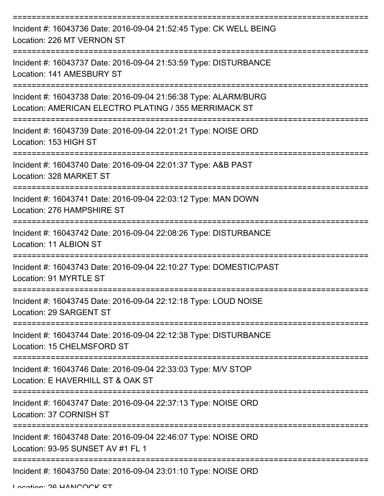| Incident #: 16043736 Date: 2016-09-04 21:52:45 Type: CK WELL BEING<br>Location: 226 MT VERNON ST                                      |
|---------------------------------------------------------------------------------------------------------------------------------------|
| Incident #: 16043737 Date: 2016-09-04 21:53:59 Type: DISTURBANCE<br>Location: 141 AMESBURY ST<br>==================================== |
| Incident #: 16043738 Date: 2016-09-04 21:56:38 Type: ALARM/BURG<br>Location: AMERICAN ELECTRO PLATING / 355 MERRIMACK ST              |
| Incident #: 16043739 Date: 2016-09-04 22:01:21 Type: NOISE ORD<br>Location: 153 HIGH ST                                               |
| Incident #: 16043740 Date: 2016-09-04 22:01:37 Type: A&B PAST<br>Location: 328 MARKET ST                                              |
| Incident #: 16043741 Date: 2016-09-04 22:03:12 Type: MAN DOWN<br>Location: 276 HAMPSHIRE ST                                           |
| Incident #: 16043742 Date: 2016-09-04 22:08:26 Type: DISTURBANCE<br>Location: 11 ALBION ST                                            |
| Incident #: 16043743 Date: 2016-09-04 22:10:27 Type: DOMESTIC/PAST<br>Location: 91 MYRTLE ST                                          |
| Incident #: 16043745 Date: 2016-09-04 22:12:18 Type: LOUD NOISE<br>Location: 29 SARGENT ST                                            |
| Incident #: 16043744 Date: 2016-09-04 22:12:38 Type: DISTURBANCE<br>Location: 15 CHELMSFORD ST                                        |
| Incident #: 16043746 Date: 2016-09-04 22:33:03 Type: M/V STOP<br>Location: E HAVERHILL ST & OAK ST                                    |
| Incident #: 16043747 Date: 2016-09-04 22:37:13 Type: NOISE ORD<br>Location: 37 CORNISH ST                                             |
| Incident #: 16043748 Date: 2016-09-04 22:46:07 Type: NOISE ORD<br>Location: 93-95 SUNSET AV #1 FL 1                                   |
| Incident #: 16043750 Date: 2016-09-04 23:01:10 Type: NOISE ORD                                                                        |

Location: 26 HANICOCK ST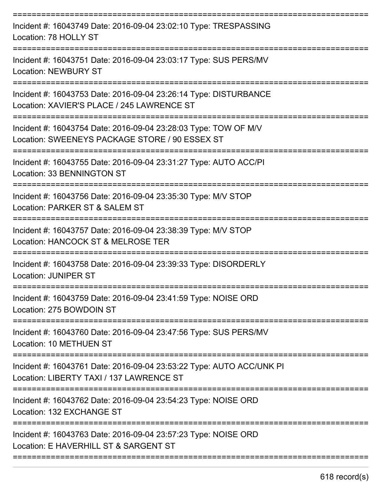| Incident #: 16043749 Date: 2016-09-04 23:02:10 Type: TRESPASSING<br>Location: 78 HOLLY ST                                                      |
|------------------------------------------------------------------------------------------------------------------------------------------------|
| Incident #: 16043751 Date: 2016-09-04 23:03:17 Type: SUS PERS/MV<br><b>Location: NEWBURY ST</b>                                                |
| Incident #: 16043753 Date: 2016-09-04 23:26:14 Type: DISTURBANCE<br>Location: XAVIER'S PLACE / 245 LAWRENCE ST                                 |
| Incident #: 16043754 Date: 2016-09-04 23:28:03 Type: TOW OF M/V<br>Location: SWEENEYS PACKAGE STORE / 90 ESSEX ST                              |
| Incident #: 16043755 Date: 2016-09-04 23:31:27 Type: AUTO ACC/PI<br>Location: 33 BENNINGTON ST                                                 |
| Incident #: 16043756 Date: 2016-09-04 23:35:30 Type: M/V STOP<br>Location: PARKER ST & SALEM ST                                                |
| Incident #: 16043757 Date: 2016-09-04 23:38:39 Type: M/V STOP<br>Location: HANCOCK ST & MELROSE TER<br>==========                              |
| Incident #: 16043758 Date: 2016-09-04 23:39:33 Type: DISORDERLY<br><b>Location: JUNIPER ST</b>                                                 |
| Incident #: 16043759 Date: 2016-09-04 23:41:59 Type: NOISE ORD<br>Location: 275 BOWDOIN ST<br>===========================<br>================= |
| Incident #: 16043760 Date: 2016-09-04 23:47:56 Type: SUS PERS/MV<br>Location: 10 METHUEN ST<br>===================================             |
| Incident #: 16043761 Date: 2016-09-04 23:53:22 Type: AUTO ACC/UNK PI<br>Location: LIBERTY TAXI / 137 LAWRENCE ST                               |
| Incident #: 16043762 Date: 2016-09-04 23:54:23 Type: NOISE ORD<br>Location: 132 EXCHANGE ST                                                    |
| Incident #: 16043763 Date: 2016-09-04 23:57:23 Type: NOISE ORD<br>Location: E HAVERHILL ST & SARGENT ST                                        |